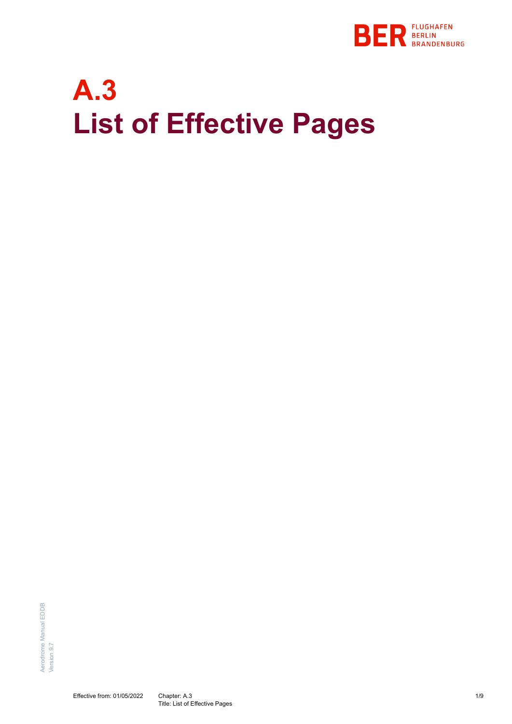

# **A.3 List of Effective Pages**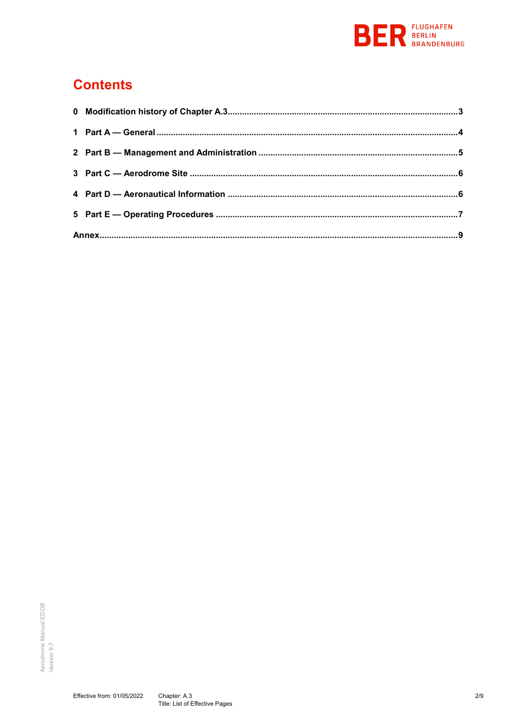

#### **Contents**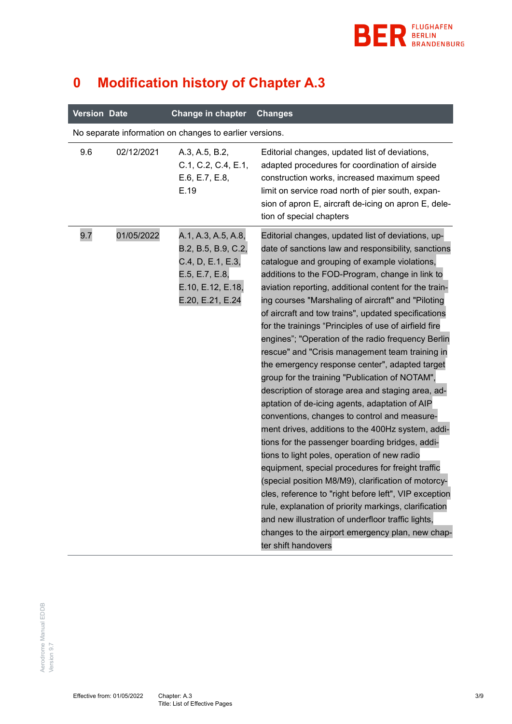

<span id="page-2-0"></span>

| $\boldsymbol{0}$<br><b>Modification history of Chapter A.3</b> |  |
|----------------------------------------------------------------|--|
|----------------------------------------------------------------|--|

| <b>Version Date</b> |            | Change in chapter                                                                                                          | <b>Changes</b>                                                                                                                                                                                                                                                                                                                                                                                                                                                                                                                                                                                                                                                                                                                                                                                                                                                                                                                                                                                                                                                                                                                                                                                                                                                                                                                          |
|---------------------|------------|----------------------------------------------------------------------------------------------------------------------------|-----------------------------------------------------------------------------------------------------------------------------------------------------------------------------------------------------------------------------------------------------------------------------------------------------------------------------------------------------------------------------------------------------------------------------------------------------------------------------------------------------------------------------------------------------------------------------------------------------------------------------------------------------------------------------------------------------------------------------------------------------------------------------------------------------------------------------------------------------------------------------------------------------------------------------------------------------------------------------------------------------------------------------------------------------------------------------------------------------------------------------------------------------------------------------------------------------------------------------------------------------------------------------------------------------------------------------------------|
|                     |            | No separate information on changes to earlier versions.                                                                    |                                                                                                                                                                                                                                                                                                                                                                                                                                                                                                                                                                                                                                                                                                                                                                                                                                                                                                                                                                                                                                                                                                                                                                                                                                                                                                                                         |
| 9.6                 | 02/12/2021 | A.3, A.5, B.2,<br>C.1, C.2, C.4, E.1,<br>E.6, E.7, E.8,<br>E.19                                                            | Editorial changes, updated list of deviations,<br>adapted procedures for coordination of airside<br>construction works, increased maximum speed<br>limit on service road north of pier south, expan-<br>sion of apron E, aircraft de-icing on apron E, dele-<br>tion of special chapters                                                                                                                                                                                                                                                                                                                                                                                                                                                                                                                                                                                                                                                                                                                                                                                                                                                                                                                                                                                                                                                |
| 9.7                 | 01/05/2022 | A.1, A.3, A.5, A.8,<br>B.2, B.5, B.9, C.2,<br>C.4, D, E.1, E.3,<br>E.5, E.7, E.8,<br>E.10, E.12, E.18,<br>E.20, E.21, E.24 | Editorial changes, updated list of deviations, up-<br>date of sanctions law and responsibility, sanctions<br>catalogue and grouping of example violations,<br>additions to the FOD-Program, change in link to<br>aviation reporting, additional content for the train-<br>ing courses "Marshaling of aircraft" and "Piloting<br>of aircraft and tow trains", updated specifications<br>for the trainings "Principles of use of airfield fire<br>engines"; "Operation of the radio frequency Berlin<br>rescue" and "Crisis management team training in<br>the emergency response center", adapted target<br>group for the training "Publication of NOTAM",<br>description of storage area and staging area, ad-<br>aptation of de-icing agents, adaptation of AIP<br>conventions, changes to control and measure-<br>ment drives, additions to the 400Hz system, addi-<br>tions for the passenger boarding bridges, addi-<br>tions to light poles, operation of new radio<br>equipment, special procedures for freight traffic<br>(special position M8/M9), clarification of motorcy-<br>cles, reference to "right before left", VIP exception<br>rule, explanation of priority markings, clarification<br>and new illustration of underfloor traffic lights,<br>changes to the airport emergency plan, new chap-<br>ter shift handovers |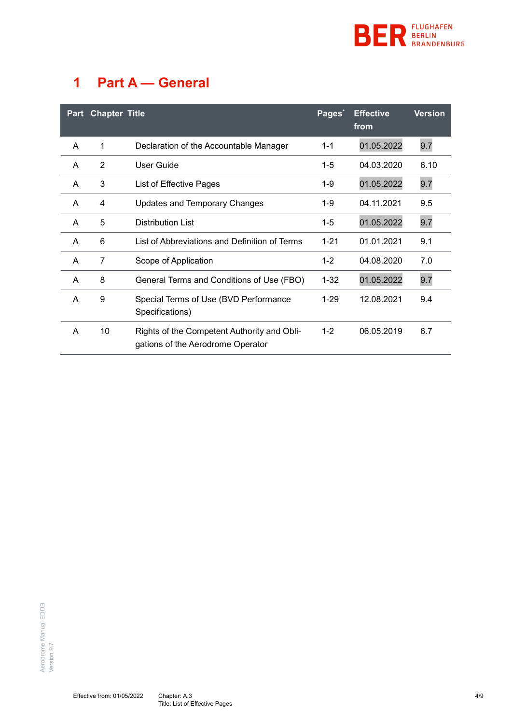

## <span id="page-3-0"></span>**1 Part A — General**

| <b>Part</b> | <b>Chapter Title</b> |                                                                                  | Pages <sup>*</sup> | <b>Effective</b><br>from | <b>Version</b> |
|-------------|----------------------|----------------------------------------------------------------------------------|--------------------|--------------------------|----------------|
| A           | 1                    | Declaration of the Accountable Manager                                           | $1 - 1$            | 01.05.2022               | 9.7            |
| A           | 2                    | User Guide                                                                       | $1 - 5$            | 04.03.2020               | 6.10           |
| A           | 3                    | List of Effective Pages                                                          | 1-9                | 01.05.2022               | 9.7            |
| A           | 4                    | <b>Updates and Temporary Changes</b>                                             | 1-9                | 04.11.2021               | 9.5            |
| A           | 5                    | Distribution List                                                                | $1 - 5$            | 01.05.2022               | 9.7            |
| A           | 6                    | List of Abbreviations and Definition of Terms                                    | $1 - 21$           | 01.01.2021               | 9.1            |
| A           | 7                    | Scope of Application                                                             | $1 - 2$            | 04.08.2020               | 7.0            |
| A           | 8                    | General Terms and Conditions of Use (FBO)                                        | $1 - 32$           | 01.05.2022               | 9.7            |
| A           | 9                    | Special Terms of Use (BVD Performance<br>Specifications)                         | $1 - 29$           | 12.08.2021               | 9.4            |
| A           | 10                   | Rights of the Competent Authority and Obli-<br>gations of the Aerodrome Operator | $1 - 2$            | 06.05.2019               | 6.7            |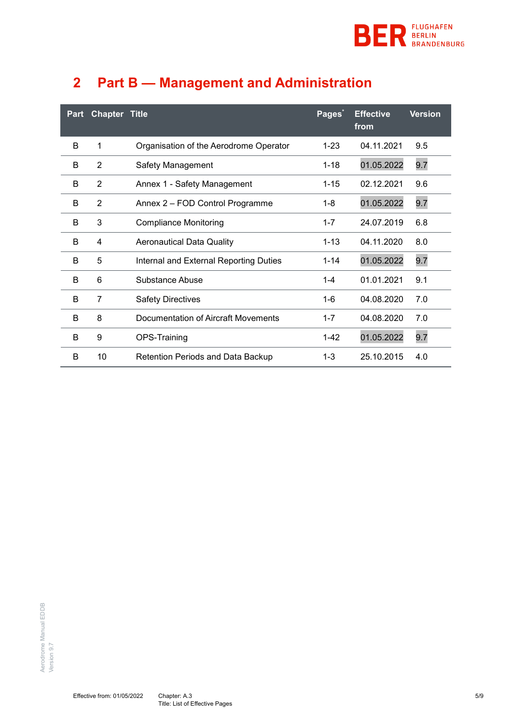

<span id="page-4-0"></span>

|  |  | 2 Part B - Management and Administration |  |
|--|--|------------------------------------------|--|
|--|--|------------------------------------------|--|

| Part | <b>Chapter Title</b> |                                          | Pages*   | <b>Effective</b><br>from | <b>Version</b> |
|------|----------------------|------------------------------------------|----------|--------------------------|----------------|
| B    | 1                    | Organisation of the Aerodrome Operator   | $1 - 23$ | 04.11.2021               | 9.5            |
| B    | $\overline{2}$       | Safety Management                        | $1 - 18$ | 01.05.2022               | 9.7            |
| B    | $\overline{2}$       | Annex 1 - Safety Management              | $1 - 15$ | 02.12.2021               | 9.6            |
| B    | $\overline{2}$       | Annex 2 - FOD Control Programme          | $1 - 8$  | 01.05.2022               | 9.7            |
| B    | 3                    | <b>Compliance Monitoring</b>             | $1 - 7$  | 24.07.2019               | 6.8            |
| B    | 4                    | <b>Aeronautical Data Quality</b>         | $1 - 13$ | 04.11.2020               | 8.0            |
| B    | 5                    | Internal and External Reporting Duties   | $1 - 14$ | 01.05.2022               | 9.7            |
| B    | 6                    | Substance Abuse                          | $1 - 4$  | 01.01.2021               | 9.1            |
| B    | $\overline{7}$       | <b>Safety Directives</b>                 | 1-6      | 04.08.2020               | 7.0            |
| B    | 8                    | Documentation of Aircraft Movements      | $1 - 7$  | 04.08.2020               | 7.0            |
| B    | 9                    | OPS-Training                             | $1 - 42$ | 01.05.2022               | 9.7            |
| B    | 10                   | <b>Retention Periods and Data Backup</b> | $1 - 3$  | 25.10.2015               | 4.0            |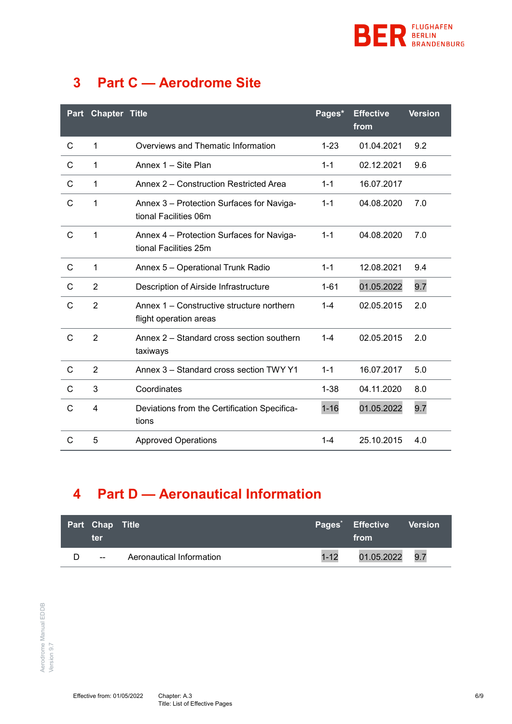

### <span id="page-5-0"></span>**3 Part C — Aerodrome Site**

| Part         | <b>Chapter Title</b> |                                                                     | Pages*   | <b>Effective</b><br>from | <b>Version</b> |
|--------------|----------------------|---------------------------------------------------------------------|----------|--------------------------|----------------|
| C            | 1                    | Overviews and Thematic Information                                  | $1 - 23$ | 01.04.2021               | 9.2            |
| C            | 1                    | Annex 1 - Site Plan                                                 | $1 - 1$  | 02.12.2021               | 9.6            |
| C            | 1                    | Annex 2 – Construction Restricted Area                              | $1 - 1$  | 16.07.2017               |                |
| C            | 1                    | Annex 3 - Protection Surfaces for Naviga-<br>tional Facilities 06m  | $1 - 1$  | 04.08.2020               | 7.0            |
| $\mathsf{C}$ | 1                    | Annex 4 - Protection Surfaces for Naviga-<br>tional Facilities 25m  | $1 - 1$  | 04.08.2020               | 7.0            |
| C            | 1                    | Annex 5 - Operational Trunk Radio                                   | $1 - 1$  | 12.08.2021               | 9.4            |
| $\mathsf{C}$ | $\overline{2}$       | Description of Airside Infrastructure                               | $1 - 61$ | 01.05.2022               | 9.7            |
| C            | $\overline{2}$       | Annex 1 – Constructive structure northern<br>flight operation areas | $1 - 4$  | 02.05.2015               | 2.0            |
| C            | $\overline{2}$       | Annex 2 – Standard cross section southern<br>taxiways               | $1 - 4$  | 02.05.2015               | 2.0            |
| $\mathsf{C}$ | $\overline{2}$       | Annex 3 - Standard cross section TWY Y1                             | $1 - 1$  | 16.07.2017               | 5.0            |
| $\mathsf{C}$ | 3                    | Coordinates                                                         | $1 - 38$ | 04.11.2020               | 8.0            |
| C            | 4                    | Deviations from the Certification Specifica-<br>tions               | $1 - 16$ | 01.05.2022               | 9.7            |
| C            | 5                    | <b>Approved Operations</b>                                          | $1 - 4$  | 25.10.2015               | 4.0            |

## <span id="page-5-1"></span>**4 Part D — Aeronautical Information**

| <b>Part Chap Title</b><br>ter |                          | Pages <sup>*</sup> Effective Version<br>from |  |
|-------------------------------|--------------------------|----------------------------------------------|--|
| $- -$                         | Aeronautical Information | 1-12 01.05.2022 9.7                          |  |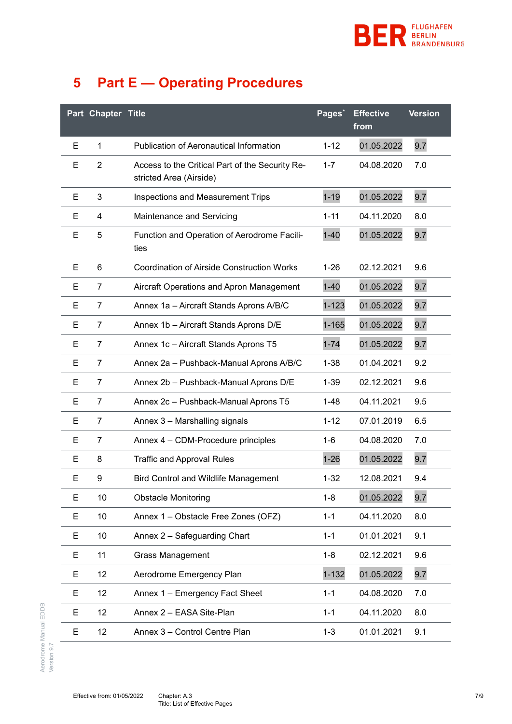

## <span id="page-6-0"></span>**5 Part E — Operating Procedures**

<span id="page-6-1"></span>

|    | Part Chapter Title |                                                                            | Pages <sup>*</sup> | <b>Effective</b><br>from | <b>Version</b> |
|----|--------------------|----------------------------------------------------------------------------|--------------------|--------------------------|----------------|
| Е  | 1                  | <b>Publication of Aeronautical Information</b>                             | $1 - 12$           | 01.05.2022               | 9.7            |
| Е  | $\overline{2}$     | Access to the Critical Part of the Security Re-<br>stricted Area (Airside) | $1 - 7$            | 04.08.2020               | 7.0            |
| E  | 3                  | Inspections and Measurement Trips                                          | $1 - 19$           | 01.05.2022               | 9.7            |
| Е  | 4                  | Maintenance and Servicing                                                  | $1 - 11$           | 04.11.2020               | 8.0            |
| Е  | 5                  | Function and Operation of Aerodrome Facili-<br>ties                        | $1 - 40$           | 01.05.2022               | 9.7            |
| Е  | 6                  | <b>Coordination of Airside Construction Works</b>                          | $1 - 26$           | 02.12.2021               | 9.6            |
| Е  | $\overline{7}$     | Aircraft Operations and Apron Management                                   | $1 - 40$           | 01.05.2022               | 9.7            |
| Е  | $\overline{7}$     | Annex 1a - Aircraft Stands Aprons A/B/C                                    | $1 - 123$          | 01.05.2022               | 9.7            |
| Е  | $\overline{7}$     | Annex 1b - Aircraft Stands Aprons D/E                                      | $1 - 165$          | 01.05.2022               | 9.7            |
| Е  | $\overline{7}$     | Annex 1c - Aircraft Stands Aprons T5                                       | $1 - 74$           | 01.05.2022               | 9.7            |
| E. | $\overline{7}$     | Annex 2a - Pushback-Manual Aprons A/B/C                                    | $1 - 38$           | 01.04.2021               | 9.2            |
| Е  | $\overline{7}$     | Annex 2b - Pushback-Manual Aprons D/E                                      | $1 - 39$           | 02.12.2021               | 9.6            |
| Е  | $\overline{7}$     | Annex 2c - Pushback-Manual Aprons T5                                       | $1 - 48$           | 04.11.2021               | 9.5            |
| Е  | $\overline{7}$     | Annex 3 - Marshalling signals                                              | $1 - 12$           | 07.01.2019               | 6.5            |
| Е  | $\overline{7}$     | Annex 4 - CDM-Procedure principles                                         | $1 - 6$            | 04.08.2020               | 7.0            |
| Е  | 8                  | <b>Traffic and Approval Rules</b>                                          | $1 - 26$           | 01.05.2022               | 9.7            |
| Е  | 9                  | <b>Bird Control and Wildlife Management</b>                                | $1 - 32$           | 12.08.2021               | 9.4            |
| E  | 10                 | <b>Obstacle Monitoring</b>                                                 | $1 - 8$            | 01.05.2022               | 9.7            |
| Е  | 10                 | Annex 1 - Obstacle Free Zones (OFZ)                                        | $1 - 1$            | 04.11.2020               | 8.0            |
| Е  | 10                 | Annex 2 - Safeguarding Chart                                               | $1 - 1$            | 01.01.2021               | 9.1            |
| Е  | 11                 | <b>Grass Management</b>                                                    | $1 - 8$            | 02.12.2021               | 9.6            |
| Е  | 12                 | Aerodrome Emergency Plan                                                   | $1 - 132$          | 01.05.2022               | 9.7            |
| Е  | 12                 | Annex 1 - Emergency Fact Sheet                                             | $1 - 1$            | 04.08.2020               | 7.0            |
| Е  | 12                 | Annex 2 - EASA Site-Plan                                                   | $1 - 1$            | 04.11.2020               | 8.0            |
| Е  | 12                 | Annex 3 - Control Centre Plan                                              | $1 - 3$            | 01.01.2021               | 9.1            |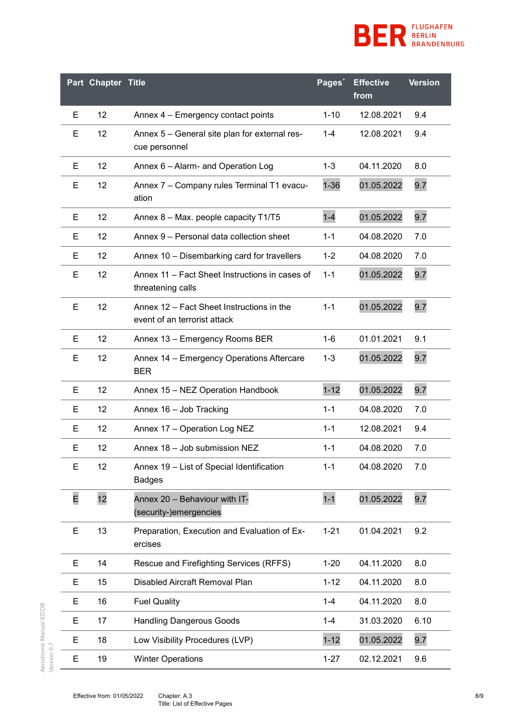

|   | Part Chapter Title |                                                                           | Pages*   | <b>Effective</b><br>from | <b>Version</b> |
|---|--------------------|---------------------------------------------------------------------------|----------|--------------------------|----------------|
| Е | 12                 | Annex 4 - Emergency contact points                                        | $1 - 10$ | 12.08.2021               | 9.4            |
| E | 12                 | Annex 5 - General site plan for external res-<br>cue personnel            | $1 - 4$  | 12.08.2021               | 9.4            |
| Е | 12                 | Annex 6 - Alarm- and Operation Log                                        | $1 - 3$  | 04.11.2020               | 8.0            |
| E | 12                 | Annex 7 - Company rules Terminal T1 evacu-<br>ation                       | $1 - 36$ | 01.05.2022               | 9.7            |
| Е | 12                 | Annex 8 - Max. people capacity T1/T5                                      | $1 - 4$  | 01.05.2022               | 9.7            |
| Е | 12                 | Annex 9 - Personal data collection sheet                                  | $1 - 1$  | 04.08.2020               | 7.0            |
| Е | 12                 | Annex 10 - Disembarking card for travellers                               | $1 - 2$  | 04.08.2020               | 7.0            |
| Е | 12                 | Annex 11 – Fact Sheet Instructions in cases of<br>threatening calls       | $1 - 1$  | 01.05.2022               | 9.7            |
| Е | 12                 | Annex 12 – Fact Sheet Instructions in the<br>event of an terrorist attack | $1 - 1$  | 01.05.2022               | 9.7            |
| Е | 12                 | Annex 13 - Emergency Rooms BER                                            | $1 - 6$  | 01.01.2021               | 9.1            |
| Е | 12                 | Annex 14 - Emergency Operations Aftercare<br><b>BER</b>                   | $1 - 3$  | 01.05.2022               | 9.7            |
| Е | 12                 | Annex 15 - NEZ Operation Handbook                                         | $1 - 12$ | 01.05.2022               | 9.7            |
| Е | 12                 | Annex 16 - Job Tracking                                                   | $1 - 1$  | 04.08.2020               | 7.0            |
| Е | 12                 | Annex 17 - Operation Log NEZ                                              | $1 - 1$  | 12.08.2021               | 9.4            |
| Е | 12                 | Annex 18 - Job submission NEZ                                             | $1 - 1$  | 04.08.2020               | 7.0            |
| E | 12                 | Annex 19 - List of Special Identification<br><b>Badges</b>                | $1 - 1$  | 04.08.2020               | 7.0            |
| E | 12                 | Annex 20 - Behaviour with IT-<br>(security-)emergencies                   | $1 - 1$  | 01.05.2022               | 9.7            |
| E | 13                 | Preparation, Execution and Evaluation of Ex-<br>ercises                   | $1 - 21$ | 01.04.2021               | 9.2            |
| Е | 14                 | Rescue and Firefighting Services (RFFS)                                   | $1 - 20$ | 04.11.2020               | 8.0            |
| E | 15                 | Disabled Aircraft Removal Plan                                            | $1 - 12$ | 04.11.2020               | 8.0            |
| Е | 16                 | <b>Fuel Quality</b>                                                       | $1 - 4$  | 04.11.2020               | 8.0            |
| Е | 17                 | <b>Handling Dangerous Goods</b>                                           | $1 - 4$  | 31.03.2020               | 6.10           |
| E | 18                 | Low Visibility Procedures (LVP)                                           | $1 - 12$ | 01.05.2022               | 9.7            |
| Е | 19                 | <b>Winter Operations</b>                                                  | $1 - 27$ | 02.12.2021               | 9.6            |

Aerodrome Manual EDDB<br>Version 9.7 Aerodrome Manual EDDB Version 9.7